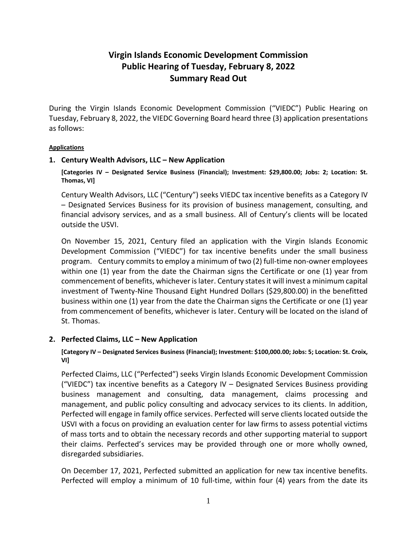# **Virgin Islands Economic Development Commission Public Hearing of Tuesday, February 8, 2022 Summary Read Out**

During the Virgin Islands Economic Development Commission ("VIEDC") Public Hearing on Tuesday, February 8, 2022, the VIEDC Governing Board heard three (3) application presentations as follows:

#### **Applications**

### **1. Century Wealth Advisors, LLC – New Application**

**[Categories IV – Designated Service Business (Financial); Investment: \$29,800.00; Jobs: 2; Location: St. Thomas, VI]**

Century Wealth Advisors, LLC ("Century") seeks VIEDC tax incentive benefits as a Category IV – Designated Services Business for its provision of business management, consulting, and financial advisory services, and as a small business. All of Century's clients will be located outside the USVI.

On November 15, 2021, Century filed an application with the Virgin Islands Economic Development Commission ("VIEDC") for tax incentive benefits under the small business program. Century commits to employ a minimum of two (2) full-time non-owner employees within one (1) year from the date the Chairman signs the Certificate or one (1) year from commencement of benefits, whichever is later. Century states it will invest a minimum capital investment of Twenty-Nine Thousand Eight Hundred Dollars (\$29,800.00) in the benefitted business within one (1) year from the date the Chairman signs the Certificate or one (1) year from commencement of benefits, whichever is later. Century will be located on the island of St. Thomas.

#### **2. Perfected Claims, LLC – New Application**

**[Category IV – Designated Services Business (Financial); Investment: \$100,000.00; Jobs: 5; Location: St. Croix, VI]**

Perfected Claims, LLC ("Perfected") seeks Virgin Islands Economic Development Commission ("VIEDC") tax incentive benefits as a Category IV – Designated Services Business providing business management and consulting, data management, claims processing and management, and public policy consulting and advocacy services to its clients. In addition, Perfected will engage in family office services. Perfected will serve clients located outside the USVI with a focus on providing an evaluation center for law firms to assess potential victims of mass torts and to obtain the necessary records and other supporting material to support their claims. Perfected's services may be provided through one or more wholly owned, disregarded subsidiaries.

On December 17, 2021, Perfected submitted an application for new tax incentive benefits. Perfected will employ a minimum of 10 full-time, within four (4) years from the date its